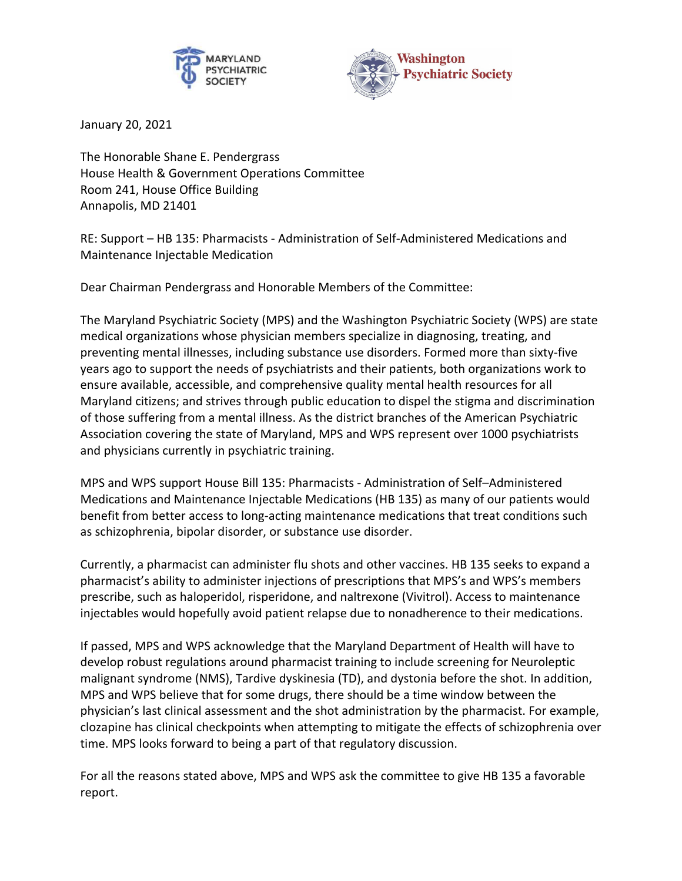



January 20, 2021

The Honorable Shane E. Pendergrass House Health & Government Operations Committee Room 241, House Office Building Annapolis, MD 21401

RE: Support – HB 135: Pharmacists - Administration of Self-Administered Medications and Maintenance Injectable Medication

Dear Chairman Pendergrass and Honorable Members of the Committee:

The Maryland Psychiatric Society (MPS) and the Washington Psychiatric Society (WPS) are state medical organizations whose physician members specialize in diagnosing, treating, and preventing mental illnesses, including substance use disorders. Formed more than sixty-five years ago to support the needs of psychiatrists and their patients, both organizations work to ensure available, accessible, and comprehensive quality mental health resources for all Maryland citizens; and strives through public education to dispel the stigma and discrimination of those suffering from a mental illness. As the district branches of the American Psychiatric Association covering the state of Maryland, MPS and WPS represent over 1000 psychiatrists and physicians currently in psychiatric training.

MPS and WPS support House Bill 135: Pharmacists - Administration of Self–Administered Medications and Maintenance Injectable Medications (HB 135) as many of our patients would benefit from better access to long-acting maintenance medications that treat conditions such as schizophrenia, bipolar disorder, or substance use disorder.

Currently, a pharmacist can administer flu shots and other vaccines. HB 135 seeks to expand a pharmacist's ability to administer injections of prescriptions that MPS's and WPS's members prescribe, such as haloperidol, risperidone, and naltrexone (Vivitrol). Access to maintenance injectables would hopefully avoid patient relapse due to nonadherence to their medications.

If passed, MPS and WPS acknowledge that the Maryland Department of Health will have to develop robust regulations around pharmacist training to include screening for Neuroleptic malignant syndrome (NMS), Tardive dyskinesia (TD), and dystonia before the shot. In addition, MPS and WPS believe that for some drugs, there should be a time window between the physician's last clinical assessment and the shot administration by the pharmacist. For example, clozapine has clinical checkpoints when attempting to mitigate the effects of schizophrenia over time. MPS looks forward to being a part of that regulatory discussion.

For all the reasons stated above, MPS and WPS ask the committee to give HB 135 a favorable report.